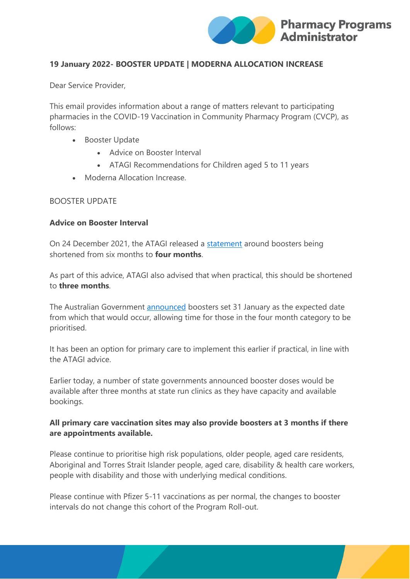

# **19 January 2022- BOOSTER UPDATE | MODERNA ALLOCATION INCREASE**

Dear Service Provider,

This email provides information about a range of matters relevant to participating pharmacies in the COVID-19 Vaccination in Community Pharmacy Program (CVCP), as follows:

- Booster Update
	- Advice on Booster Interval
	- ATAGI Recommendations for Children aged 5 to 11 years
- Moderna Allocation Increase.

### BOOSTER UPDATE

#### **Advice on Booster Interval**

On 24 December 2021, the ATAGI released a [statement](https://www.health.gov.au/news/atagi-statement-on-the-omicron-variant-and-the-timing-of-covid-19-booster-vaccination) around boosters being shortened from six months to **four months**.

As part of this advice, ATAGI also advised that when practical, this should be shortened to **three months**.

The Australian Government [announced](https://www.health.gov.au/ministers/the-hon-greg-hunt-mp/media/interval-between-primary-course-of-covid-19-vaccination-and-booster-dose-further-reduced) boosters set 31 January as the expected date from which that would occur, allowing time for those in the four month category to be prioritised.

It has been an option for primary care to implement this earlier if practical, in line with the ATAGI advice.

Earlier today, a number of state governments announced booster doses would be available after three months at state run clinics as they have capacity and available bookings.

# **All primary care vaccination sites may also provide boosters at 3 months if there are appointments available.**

Please continue to prioritise high risk populations, older people, aged care residents, Aboriginal and Torres Strait Islander people, aged care, disability & health care workers, people with disability and those with underlying medical conditions.

Please continue with Pfizer 5-11 vaccinations as per normal, the changes to booster intervals do not change this cohort of the Program Roll-out.